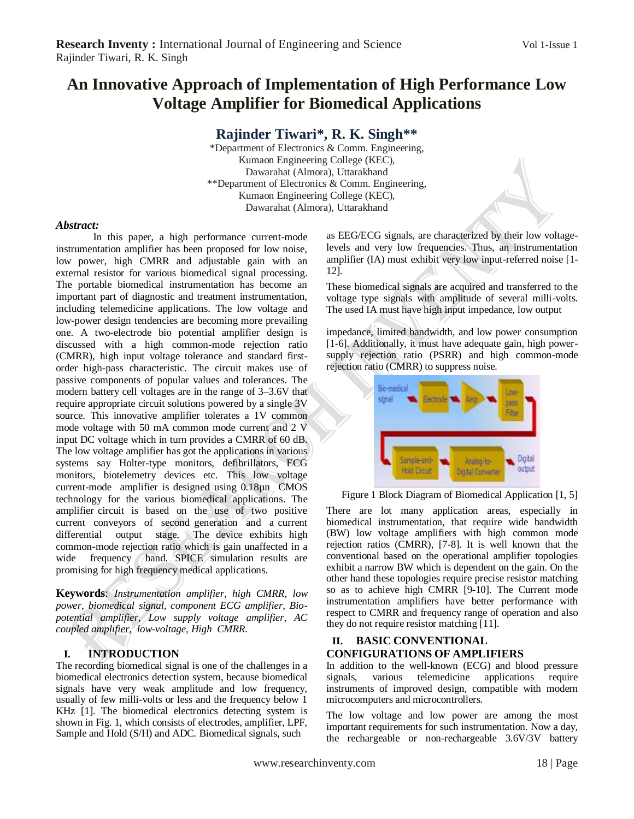# **An Innovative Approach of Implementation of High Performance Low Voltage Amplifier for Biomedical Applications**

**Rajinder Tiwari\* , R. K. Singh\*\***

\*Department of Electronics & Comm. Engineering, Kumaon Engineering College (KEC), Dawarahat (Almora), Uttarakhand \*\*Department of Electronics & Comm. Engineering, Kumaon Engineering College (KEC), Dawarahat (Almora), Uttarakhand

#### *Abstract:*

In this paper, a high performance current-mode instrumentation amplifier has been proposed for low noise, low power, high CMRR and adjustable gain with an external resistor for various biomedical signal processing. The portable biomedical instrumentation has become an important part of diagnostic and treatment instrumentation, including telemedicine applications. The low voltage and low-power design tendencies are becoming more prevailing one. A two-electrode bio potential amplifier design is discussed with a high common-mode rejection ratio (CMRR), high input voltage tolerance and standard firstorder high-pass characteristic. The circuit makes use of passive components of popular values and tolerances. The modern battery cell voltages are in the range of 3–3.6V that require appropriate circuit solutions powered by a single 3V source. This innovative amplifier tolerates a 1V common mode voltage with 50 mA common mode current and 2 V input DC voltage which in turn provides a CMRR of 60 dB. The low voltage amplifier has got the applications in various systems say Holter-type monitors, defibrillators, ECG monitors, biotelemetry devices etc. This low voltage current-mode amplifier is designed using 0.18µn CMOS technology for the various biomedical applications. The amplifier circuit is based on the use of two positive current conveyors of second generation and a current differential output stage. The device exhibits high common-mode rejection ratio which is gain unaffected in a wide frequency band. SPICE simulation results are promising for high frequency medical applications.

**Keywords**: *Instrumentation amplifier, high CMRR, low power, biomedical signal, component ECG amplifier, Biopotential amplifier, Low supply voltage amplifier, AC coupled amplifier, low-voltage, High CMRR.*

# **I. INTRODUCTION**

The recording biomedical signal is one of the challenges in a biomedical electronics detection system, because biomedical signals have very weak amplitude and low frequency, usually of few milli-volts or less and the frequency below 1 KHz [1]. The biomedical electronics detecting system is shown in Fig. 1, which consists of electrodes, amplifier, LPF, Sample and Hold (S/H) and ADC. Biomedical signals, such

as EEG/ECG signals, are characterized by their low voltagelevels and very low frequencies. Thus, an instrumentation amplifier (IA) must exhibit very low input-referred noise [1- 12].

These biomedical signals are acquired and transferred to the voltage type signals with amplitude of several milli-volts. The used IA must have high input impedance, low output

impedance, limited bandwidth, and low power consumption [1-6]. Additionally, it must have adequate gain, high powersupply rejection ratio (PSRR) and high common-mode rejection ratio (CMRR) to suppress noise.



Figure 1 Block Diagram of Biomedical Application [1, 5]

There are lot many application areas, especially in biomedical instrumentation, that require wide bandwidth (BW) low voltage amplifiers with high common mode rejection ratios (CMRR), [7-8]. It is well known that the conventional based on the operational amplifier topologies exhibit a narrow BW which is dependent on the gain. On the other hand these topologies require precise resistor matching so as to achieve high CMRR [9-10]. The Current mode instrumentation amplifiers have better performance with respect to CMRR and frequency range of operation and also they do not require resistor matching [11].

# **II. BASIC CONVENTIONAL CONFIGURATIONS OF AMPLIFIERS**

In addition to the well-known (ECG) and blood pressure signals, various telemedicine applications require instruments of improved design, compatible with modern microcomputers and microcontrollers.

The low voltage and low power are among the most important requirements for such instrumentation. Now a day, the rechargeable or non-rechargeable 3.6V/3V battery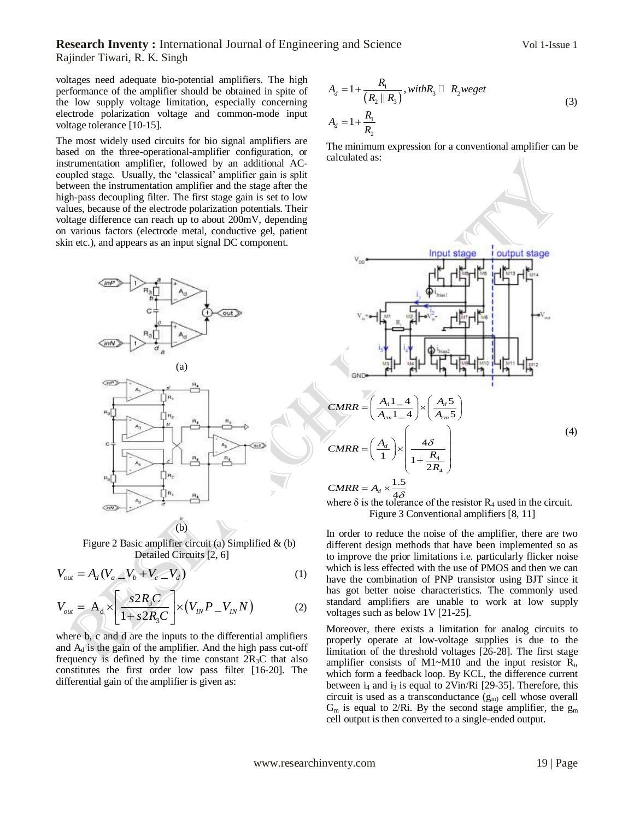#### **Research Inventy :** International Journal of Engineering and Science Vol 1-Issue 1 Rajinder Tiwari, R. K. Singh

voltages need adequate bio-potential amplifiers. The high performance of the amplifier should be obtained in spite of the low supply voltage limitation, especially concerning electrode polarization voltage and common-mode input voltage tolerance [10-15].

The most widely used circuits for bio signal amplifiers are based on the three-operational-amplifier configuration, or instrumentation amplifier, followed by an additional ACcoupled stage. Usually, the "classical" amplifier gain is split between the instrumentation amplifier and the stage after the high-pass decoupling filter. The first stage gain is set to low values, because of the electrode polarization potentials. Their voltage difference can reach up to about 200mV, depending on various factors (electrode metal, conductive gel, patient skin etc.), and appears as an input signal DC component.



Figure 2 Basic amplifier circuit (a) Simplified & (b) Detailed Circuits [2, 6]

$$
V_{out} = A_d (V_a \_V_b + V_c \_V_d)
$$
 (1)

$$
V_{out} = A_d (V_a - V_b + V_c - V_d)
$$
\n
$$
V_{out} = A_d \times \left[ \frac{s2R_sC}{1 + s2R_sC} \right] \times (V_{IN}P - V_{IN}N)
$$
\n(2)

where b, c and d are the inputs to the differential amplifiers and  $A_d$  is the gain of the amplifier. And the high pass cut-off frequency is defined by the time constant  $2R_3C$  that also constitutes the first order low pass filter [16-20]. The differential gain of the amplifier is given as:

$$
A_d = 1 + \frac{R_1}{(R_2 || R_3)}, with R_3 \square R_2 we get
$$
  
\n
$$
A_d = 1 + \frac{R_1}{R_2}
$$
\n(3)

The minimum expression for a conventional amplifier can be calculated as:



where  $\delta$  is the tolerance of the resistor  $R_4$  used in the circuit. Figure 3 Conventional amplifiers [8, 11]

In order to reduce the noise of the amplifier, there are two different design methods that have been implemented so as to improve the prior limitations i.e. particularly flicker noise which is less effected with the use of PMOS and then we can have the combination of PNP transistor using BJT since it has got better noise characteristics. The commonly used standard amplifiers are unable to work at low supply voltages such as below 1V [21-25].

Moreover, there exists a limitation for analog circuits to properly operate at low-voltage supplies is due to the limitation of the threshold voltages [26-28]. The first stage amplifier consists of M1~M10 and the input resistor  $R_i$ , which form a feedback loop. By KCL, the difference current between  $i_4$  and  $i_3$  is equal to 2Vin/Ri [29-35]. Therefore, this circuit is used as a transconductance  $(g_m)$  cell whose overall  $G_m$  is equal to 2/Ri. By the second stage amplifier, the  $g_m$ cell output is then converted to a single-ended output.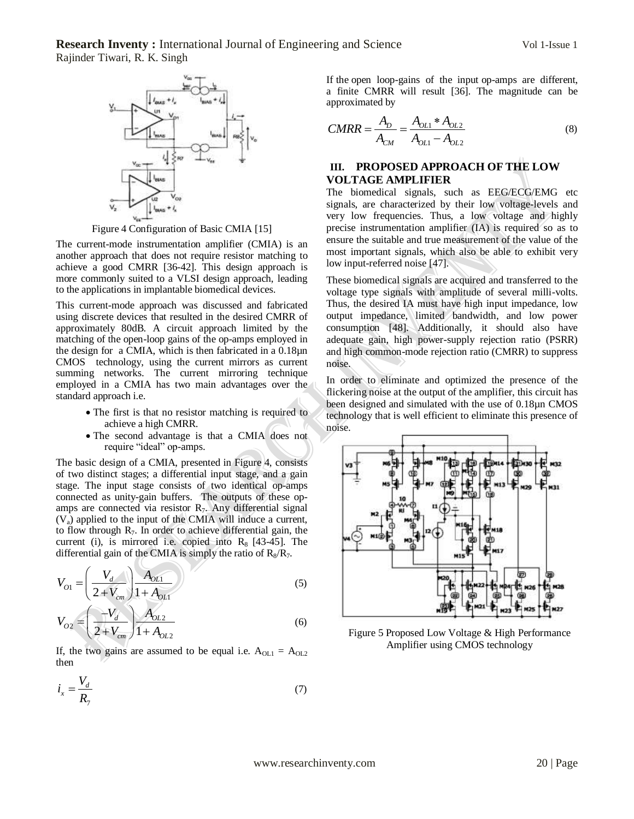**Research Inventy :** International Journal of Engineering and Science Vol 1-Issue 1 Rajinder Tiwari, R. K. Singh



Figure 4 Configuration of Basic CMIA [15]

The current-mode instrumentation amplifier (CMIA) is an another approach that does not require resistor matching to achieve a good CMRR [36-42]. This design approach is more commonly suited to a VLSI design approach, leading to the applications in implantable biomedical devices.

This current-mode approach was discussed and fabricated using discrete devices that resulted in the desired CMRR of approximately 80dB. A circuit approach limited by the matching of the open-loop gains of the op-amps employed in the design for a CMIA, which is then fabricated in a 0.18µn CMOS technology, using the current mirrors as current summing networks. The current mirroring technique employed in a CMIA has two main advantages over the standard approach i.e.

- The first is that no resistor matching is required to achieve a high CMRR.
- The second advantage is that a CMIA does not require "ideal" op-amps.

The basic design of a CMIA, presented in Figure 4, consists of two distinct stages; a differential input stage, and a gain stage. The input stage consists of two identical op-amps connected as unity-gain buffers. The outputs of these opamps are connected via resistor  $R_7$ . Any differential signal  $(V_a)$  applied to the input of the CMIA will induce a current, to flow through R7. In order to achieve differential gain, the current (i), is mirrored i.e. copied into  $R_8$  [43-45]. The differential gain of the CMIA is simply the ratio of  $R_8/R_7$ .

$$
V_{O1} = \left(\frac{V_d}{2 + V_{cm}}\right) \frac{A_{OL1}}{1 + A_{OL1}}
$$
\n
$$
V_d = \left(\frac{V_d}{1 + V_d}\right) A_{OL2}
$$
\n(5)

$$
V_{O2} = \left(\frac{-V_d}{2 + V_{cm}}\right) \frac{A_{O12}}{1 + A_{O12}}
$$
 (6)

If, the two gains are assumed to be equal i.e.  $A_{OL1} = A_{OL2}$ then

$$
i_x = \frac{V_d}{R_7} \tag{7}
$$

If the open loop-gains of the input op-amps are different, a finite CMRR will result [36]. The magnitude can be approximated by

$$
CMRR = \frac{A_D}{A_{CM}} = \frac{A_{OL1} * A_{OL2}}{A_{OL1} - A_{OL2}}
$$
(8)

## **III. PROPOSED APPROACH OF THE LOW VOLTAGE AMPLIFIER**

The biomedical signals, such as EEG/ECG/EMG etc signals, are characterized by their low voltage-levels and very low frequencies. Thus, a low voltage and highly precise instrumentation amplifier (IA) is required so as to ensure the suitable and true measurement of the value of the most important signals, which also be able to exhibit very low input-referred noise [47].

These biomedical signals are acquired and transferred to the voltage type signals with amplitude of several milli-volts. Thus, the desired IA must have high input impedance, low output impedance, limited bandwidth, and low power consumption [48]. Additionally, it should also have adequate gain, high power-supply rejection ratio (PSRR) and high common-mode rejection ratio (CMRR) to suppress noise.

In order to eliminate and optimized the presence of the flickering noise at the output of the amplifier, this circuit has been designed and simulated with the use of 0.18µn CMOS technology that is well efficient to eliminate this presence of noise.



Figure 5 Proposed Low Voltage & High Performance Amplifier using CMOS technology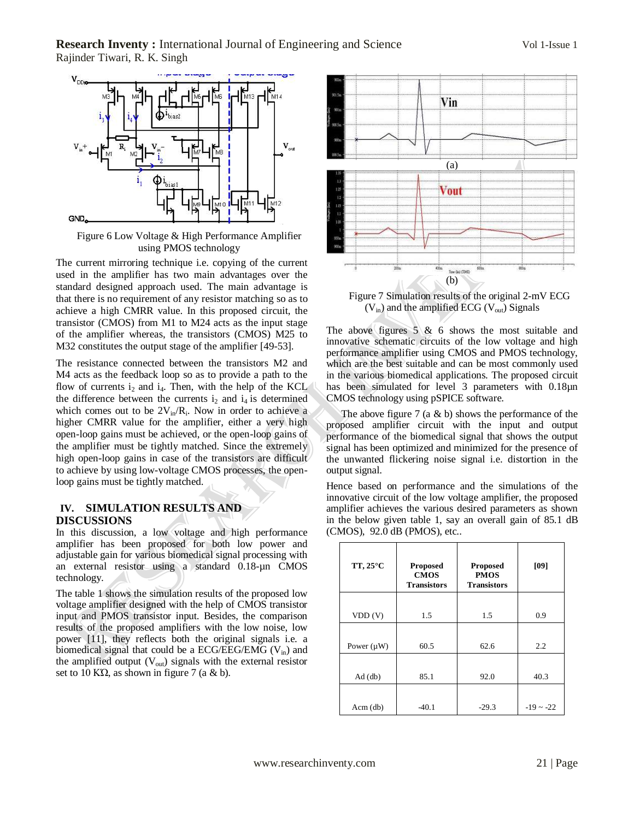

Figure 6 Low Voltage & High Performance Amplifier using PMOS technology

The current mirroring technique i.e. copying of the current used in the amplifier has two main advantages over the standard designed approach used. The main advantage is that there is no requirement of any resistor matching so as to achieve a high CMRR value. In this proposed circuit, the transistor (CMOS) from M1 to M24 acts as the input stage of the amplifier whereas, the transistors (CMOS) M25 to M32 constitutes the output stage of the amplifier [49-53].

The resistance connected between the transistors M2 and M4 acts as the feedback loop so as to provide a path to the flow of currents  $i_2$  and  $i_4$ . Then, with the help of the KCL the difference between the currents  $i_2$  and  $i_4$  is determined which comes out to be  $2V_{in}/R_i$ . Now in order to achieve a higher CMRR value for the amplifier, either a very high open-loop gains must be achieved, or the open-loop gains of the amplifier must be tightly matched. Since the extremely high open-loop gains in case of the transistors are difficult to achieve by using low-voltage CMOS processes, the openloop gains must be tightly matched.

#### **IV. SIMULATION RESULTS AND DISCUSSIONS**

In this discussion, a low voltage and high performance amplifier has been proposed for both low power and adjustable gain for various biomedical signal processing with an external resistor using a standard 0.18-µn CMOS technology.

The table 1 shows the simulation results of the proposed low voltage amplifier designed with the help of CMOS transistor input and PMOS transistor input. Besides, the comparison results of the proposed amplifiers with the low noise, low power [11], they reflects both the original signals i.e. a biomedical signal that could be a ECG/EEG/EMG ( $V_{in}$ ) and the amplified output  $(V_{out})$  signals with the external resistor set to 10 K $\Omega$ , as shown in figure 7 (a & b).



Figure 7 Simulation results of the original 2-mV ECG  $(V_{in})$  and the amplified ECG  $(V_{out})$  Signals

The above figures  $5 \& 6$  shows the most suitable and innovative schematic circuits of the low voltage and high performance amplifier using CMOS and PMOS technology, which are the best suitable and can be most commonly used in the various biomedical applications. The proposed circuit has been simulated for level 3 parameters with 0.18µn CMOS technology using pSPICE software.

The above figure 7 (a  $&$  b) shows the performance of the proposed amplifier circuit with the input and output performance of the biomedical signal that shows the output signal has been optimized and minimized for the presence of the unwanted flickering noise signal i.e. distortion in the output signal.

Hence based on performance and the simulations of the innovative circuit of the low voltage amplifier, the proposed amplifier achieves the various desired parameters as shown in the below given table 1, say an overall gain of 85.1 dB (CMOS), 92.0 dB (PMOS), etc..

| TT, 25°C        | <b>Proposed</b><br><b>CMOS</b><br><b>Transistors</b> | <b>Proposed</b><br><b>PMOS</b><br><b>Transistors</b> | [09]        |
|-----------------|------------------------------------------------------|------------------------------------------------------|-------------|
| VDD(V)          | 1.5                                                  | 1.5                                                  | 0.9         |
| Power $(\mu W)$ | 60.5                                                 | 62.6                                                 | 2.2         |
| $Ad$ (db)       | 85.1                                                 | 92.0                                                 | 40.3        |
| $Acm$ (db)      | $-40.1$                                              | $-29.3$                                              | $-19 - -22$ |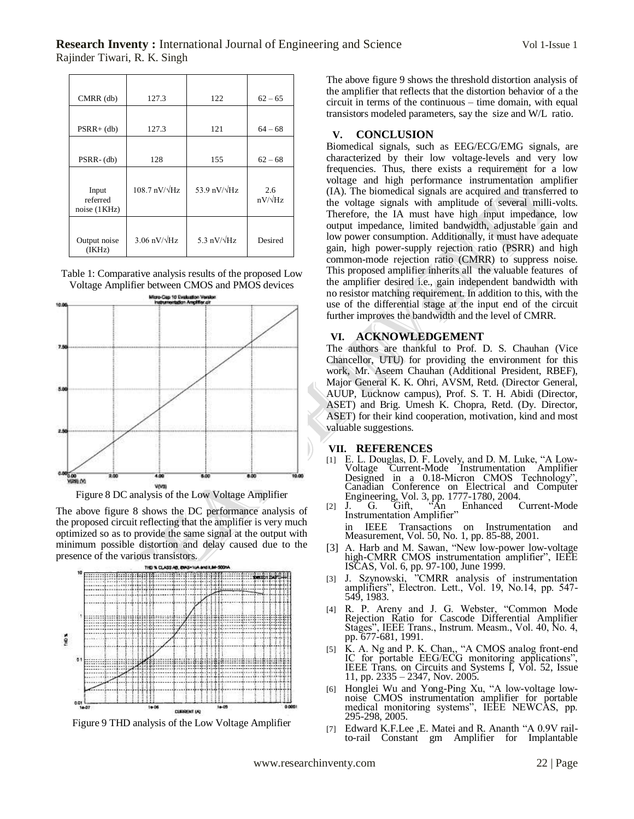| $CMRR$ (db)                       | 127.3                          | 122                  | $62 - 65$             |
|-----------------------------------|--------------------------------|----------------------|-----------------------|
| $PSRR+$ (db)                      | 127.3                          | 121                  | $64 - 68$             |
| $PSRR-(db)$                       | 128                            | 155                  | $62 - 68$             |
| Input<br>referred<br>noise (1KHz) | $108.7$ nV/ $\sqrt{\text{Hz}}$ | 53.9 nV/ $\sqrt{Hz}$ | 2.6<br>$nV/\sqrt{Hz}$ |
| Output noise<br>(IKHz)            | $3.06$ nV/ $\sqrt{\text{Hz}}$  | 5.3 $nV/\sqrt{Hz}$   | Desired               |

Table 1: Comparative analysis results of the proposed Low Voltage Amplifier between CMOS and PMOS devices



Figure 8 DC analysis of the Low Voltage Amplifier

The above figure 8 shows the DC performance analysis of the proposed circuit reflecting that the amplifier is very much optimized so as to provide the same signal at the output with minimum possible distortion and delay caused due to the presence of the various transistors.



Figure 9 THD analysis of the Low Voltage Amplifier

The above figure 9 shows the threshold distortion analysis of the amplifier that reflects that the distortion behavior of a the circuit in terms of the continuous – time domain, with equal transistors modeled parameters, say the size and W/L ratio.

#### **V. CONCLUSION**

Biomedical signals, such as EEG/ECG/EMG signals, are characterized by their low voltage-levels and very low frequencies. Thus, there exists a requirement for a low voltage and high performance instrumentation amplifier (IA). The biomedical signals are acquired and transferred to the voltage signals with amplitude of several milli-volts. Therefore, the IA must have high input impedance, low output impedance, limited bandwidth, adjustable gain and low power consumption. Additionally, it must have adequate gain, high power-supply rejection ratio (PSRR) and high common-mode rejection ratio (CMRR) to suppress noise. This proposed amplifier inherits all the valuable features of the amplifier desired i.e., gain independent bandwidth with no resistor matching requirement. In addition to this, with the use of the differential stage at the input end of the circuit further improves the bandwidth and the level of CMRR.

## **VI. ACKNOWLEDGEMENT**

The authors are thankful to Prof. D. S. Chauhan (Vice Chancellor, UTU) for providing the environment for this work, Mr. Aseem Chauhan (Additional President, RBEF), Major General K. K. Ohri, AVSM, Retd. (Director General, AUUP, Lucknow campus), Prof. S. T. H. Abidi (Director, ASET) and Brig. Umesh K. Chopra, Retd. (Dy. Director, ASET) for their kind cooperation, motivation, kind and most valuable suggestions.

### **VII. REFERENCES**

- [1] E. L. Douglas, D. F. Lovely, and D. M. Luke, "A Low-Voltage Current-Mode Instrumentation Amplifier Designed in a 0.18-Micron CMOS Technology", Canadian Conference on Electrical and Computer Engineering, Vol. 3, pp. 1777-1780, 2004.
- [2] J. G. Gift, "An Enhanced Current-Mode [2] J. G. Gift, "An Instrumentation Amplifier" in IEEE Transactions on Instrumentation and Measurement, Vol. 50, No. 1, pp. 85-88, 2001.
- [3] A. Harb and M. Sawan, "New low-power low-voltage high-CMRR CMOS instrumentation amplifier", IEEE ISCAS, Vol. 6, pp. 97-100, June 1999.
- [3] J. Szynowski, "CMRR analysis of instrumentation amplifiers", Electron. Lett., Vol. 19, No.14, pp. 547- 549, 1983.
- [4] R. P. Areny and J. G. Webster, "Common Mode Rejection Ratio for Cascode Differential Amplifier Stages", IEEE Trans., Instrum. Measm., Vol. 40, No. 4, pp. 677-681, 1991.
- [5] K. A. Ng and P. K. Chan,, "A CMOS analog front-end IC for portable EEG/ECG monitoring applications", IEEE Trans. on Circuits and Systems I, Vol. 52, Issue 11, pp. 2335 – 2347, Nov. 2005.
- [6] Honglei Wu and Yong-Ping Xu, "A low-voltage lownoise CMOS instrumentation amplifier for portable medical monitoring systems", IEEE NEWCAS, pp. 295-298, 2005.
- [7] Edward K.F.Lee ,E. Matei and R. Ananth "A 0.9V railto-rail Constant gm Amplifier for Implantable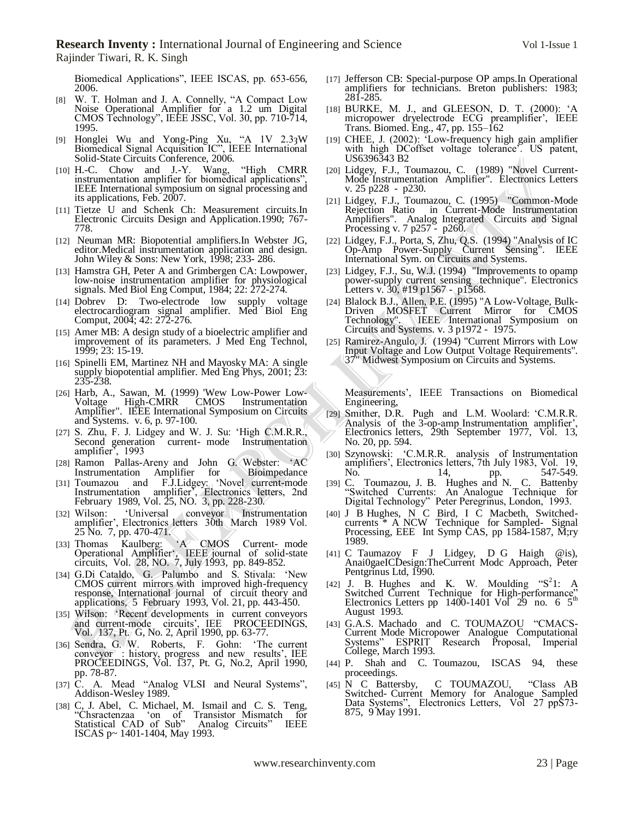Biomedical Applications", IEEE ISCAS, pp. 653-656, 2006.

- [8] W. T. Holman and J. A. Connelly, "A Compact Low Noise Operational Amplifier for a 1.2 um Digital CMOS Technology", IEEE JSSC, Vol. 30, pp. 710-714, 1995.
- [9] Honglei Wu and Yong-Ping Xu, "A 1V 2.3ȝW Biomedical Signal Acquisition IC", IEEE International Solid-State Circuits Conference, 2006.
- [10] H.-C. Chow and J.-Y. Wang, "High CMRR instrumentation amplifier for biomedical applications", IEEE International symposium on signal processing and its applications, Feb. 2007.
- [11] Tietze U and Schenk Ch: Measurement circuits.In Electronic Circuits Design and Application.1990; 767- 778.
- [12] Neuman MR: Biopotential amplifiers.In Webster JG. editor.Medical instrumentation application and design. John Wiley & Sons: New York, 1998; 233- 286.
- [13] Hamstra GH, Peter A and Grimbergen CA: Lowpower, low-noise instrumentation amplifier for physiological signals. Med Biol Eng Comput, 1984; 22: 272-274.
- [14] Dobrev D: Two-electrode low supply voltage electrocardiogram signal amplifier. Med Biol Eng Comput, 2004; 42: 272-276.
- [15] Amer MB: A design study of a bioelectric amplifier and improvement of its parameters. J Med Eng Technol, 1999; 23: 15-19.
- [16] Spinelli EM, Martinez NH and Mayosky MA: A single supply biopotential amplifier. Med Eng Phys, 2001; 23: 235-238.
- [26] Harb, A., Sawan, M. (1999) 'Wew Low-Power Low-Voltage High-CMRR CMOS Instrumentation Amplifier". IEEE International Symposium on Circuits and Systems. v. 6, p. 97-100.
- [27] S. Zhu, F. J. Lidgey and W. J. Su: 'High C.M.R.R., Second generation current- mode Instrumentation amplifier", 1993
- [28] Ramon Pallas-Areny and John G. Webster: "AC Instrumentation Amplifier for
- [31] Toumazou and F.J.Lidgey: 'Novel current-mode Instrumentation amplifier", Electronics letters, 2nd February 1989, Vol. 25, NO. 3, pp. 228-230.
- [32] Wilson: "Universal conveyor Instrumentation amplifier", Electronics letters 30th March 1989 Vol. 25 No. 7, pp. 470-471.
- [33] Thomas Kaulberg: 'A CMOS Current- mode Operational Amplifier", IEEE journal of solid-state circuits, Vol. 28, NO. 7, July 1993, pp. 849-852.
- [34] G.Di Cataldo, G. Palumbo and S. Stivala: "New CMOS current mirrors with improved high-frequency response, International journal of circuit theory and applications, 5 February 1993, Vol. 21, pp. 443-450.
- [35] Wilson: 'Recent developments in current conveyors and current-mode circuits', IEE PROCEEDINGS, Vol. 137, Pt. G, No. 2, April 1990, pp. 63-77.
- [36] Sendra, G. W. Roberts, F. Gohn: "The current conveyor : history, progress and new results", IEE PROCEEDINGS, Vol. 137, Pt. G, No.2, April 1990, pp. 78-87.
- [37] C. A. Mead "Analog VLSI and Neural Systems", Addison-Wesley 1989.
- [38] C, J. Abel, C. Michael, M. Ismail and C. S. Teng, "Chsractenzaa "on of Transistor Mismatch for Statistical CAD of Sub" Analog Circuits" IEEE ISCAS p~ 1401-1404, May 1993.
- [17] Jefferson CB: Special-purpose OP amps.In Operational amplifiers for technicians. Breton publishers: 1983; 281-285.
- [18] BURKE, M. J., and GLEESON, D. T. (2000): "A micropower dryelectrode ECG preamplifier", IEEE Trans. Biomed. Eng., 47, pp. 155–162
- [19] CHEE, J. (2002): 'Low-frequency high gain amplifier with high DCoffset voltage tolerance? US patent, US6396343 B2
- [20] Lidgey, F.J., Toumazou, C. (1989) "Novel Current-Mode Instrumentation Amplifier". Electronics Letters v. 25 p228 - p230.
- [21] Lidgey, F.J., Toumazou, C. (1995) "Common-Mode Rejection Ratio in Current-Mode Instrumentation Amplifiers". Analog Integrated Circuits and Signal Processing v. 7 p257 - p260.
- [22] Lidgey, F.J., Porta, S. Zhu, Q.S. (1994) "Analysis of IC Op-Amp Power-Supply Current Sensing". IEEE International Sym. on Circuits and Systems.
- [23] Lidgey, F.J., Su, W.J. (1994) "Improvements to opamp power-supply current sensing technique". Electronics Letters v. 30, #19 p1567 - p1568.
- [24] Blalock B.J., Allen, P.E. (1995) "A Low-Voltage, Bulk-Driven MOSFET Current Mirror for CMOS Technology". IEEE International Symposium on Technology". IEEE International Systems. v. 3 p1972 - 1975.
- [25] Ramirez-Angulo, J. (1994) "Current Mirrors with Low Input Voltage and Low Output Voltage Requirements". 37" Midwest Symposium on Circuits and Systems.

Measurements", IEEE Transactions on Biomedical Engineering,

- [29] Smither, D.R. Pugh and L.M. Woolard: "C.M.R.R. Analysis of the 3-op-amp Instrumentation amplifier', Electronics letters, 29th September 1977, Vol. 13, No. 20, pp. 594.
- [30] Szynowski: "C.M.R.R. analysis of Instrumentation amplifiers', Electronics letters, 7th July 1983, Vol. 19, No. 14, pp. 547-549.
- [39] C. Toumazou, J. B. Hughes and N. C. Battenby "Switched Currents: An Analogue Technique for Digital Technology" Peter Peregrinus, London, 1993.
- [40] J B Hughes, N C Bird, I C Macbeth, Switchedcurrents \* A NCW Technique for Sampled- Signal Processing, EEE Int Symp CAS, pp 1584-1587, M;ry 1989.
- [41] C Taumazoy F J Lidgey, D G Haigh @is), Anai0gaeICDesign:TheCurrent Modc Approach, Peter Pentgrinus Ltd, 1990.
- $[42]$  J. B. Hughes and K. W. Moulding " $S^2$ 1: A Switched Current Technique for High-performance"<br>Electronics Letters pp 1400-1401 Vol 29 no. 6 5<sup>th</sup> August 1993.
- [43] G.A.S. Machado and C. TOUMAZOU "CMACS-Current Mode Micropower Analogue Computational Systems" ESPRIT Research Proposal, Imperial College, March 1993.
- [44] P. Shah and C. Toumazou, ISCAS 94, these proceedings.
- [45] N C Battersby, C TOUMAZOU, "Class AB Switched- Current Memory for Analogue Sampled Data Systems", Electronics Letters, Vol 27 ppS73- 875, 9 May 1991.